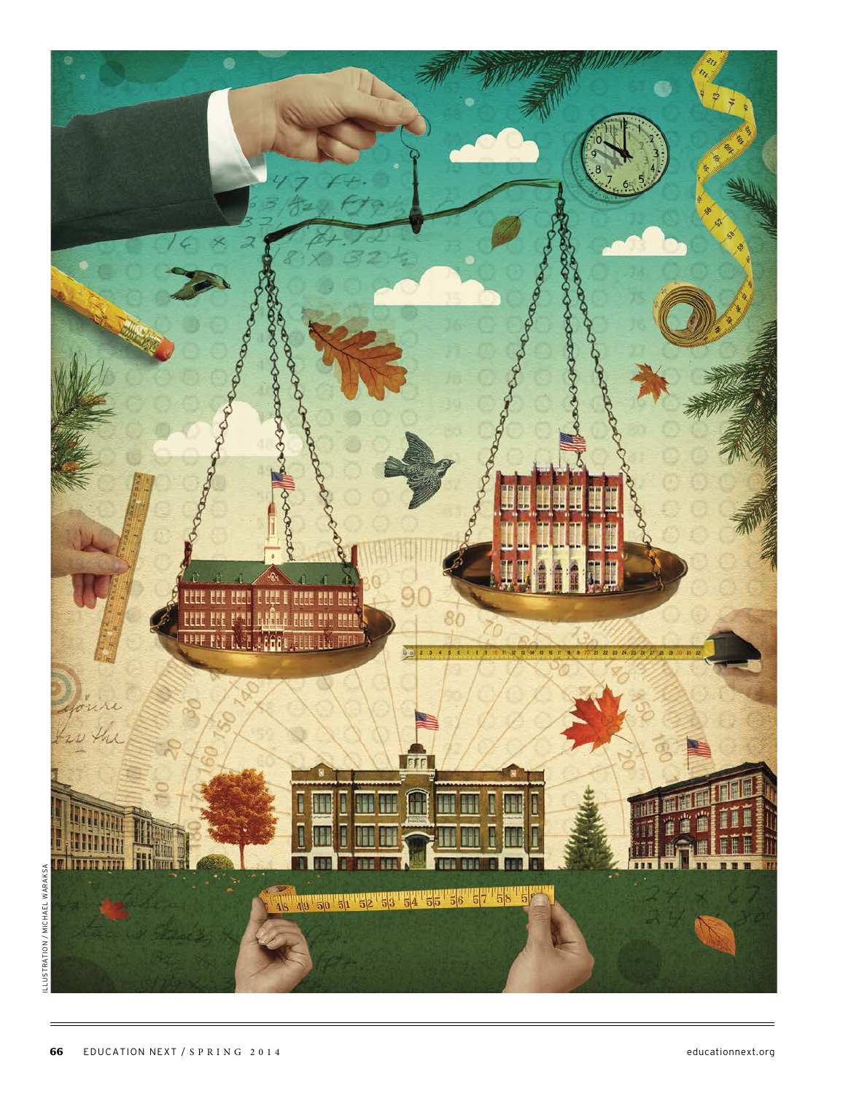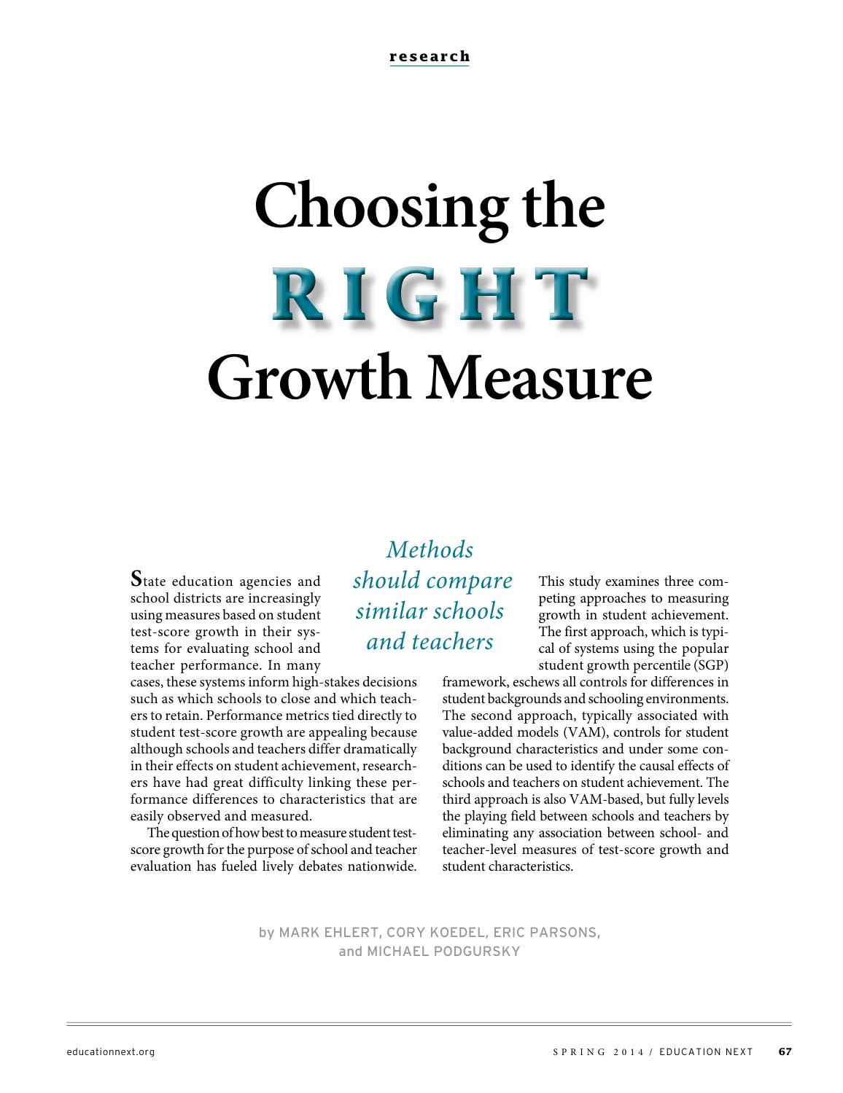# **Choosing the Growth Measure RIGHT**

**S**tate education agencies and school districts are increasingly using measures based on student test-score growth in their systems for evaluating school and teacher performance. In many

cases, these systems inform high-stakes decisions such as which schools to close and which teachers to retain. Performance metrics tied directly to student test-score growth are appealing because although schools and teachers differ dramatically in their effects on student achievement, researchers have had great difficulty linking these performance differences to characteristics that are easily observed and measured.

The question of how best to measure student testscore growth for the purpose of school and teacher evaluation has fueled lively debates nationwide.

**Methods**  should compare similar schools and teachers

This study examines three competing approaches to measuring growth in student achievement. The first approach, which is typical of systems using the popular student growth percentile (SGP)

framework, eschews all controls for differences in student backgrounds and schooling environments. The second approach, typically associated with value-added models (VAM), controls for student background characteristics and under some conditions can be used to identify the causal effects of schools and teachers on student achievement. The third approach is also VAM-based, but fully levels the playing field between schools and teachers by eliminating any association between school- and teacher-level measures of test-score growth and student characteristics.

by MARK EHLERT, CORY KOEDEL, ERIC PARSONS, and MICHAEL PODGURSKY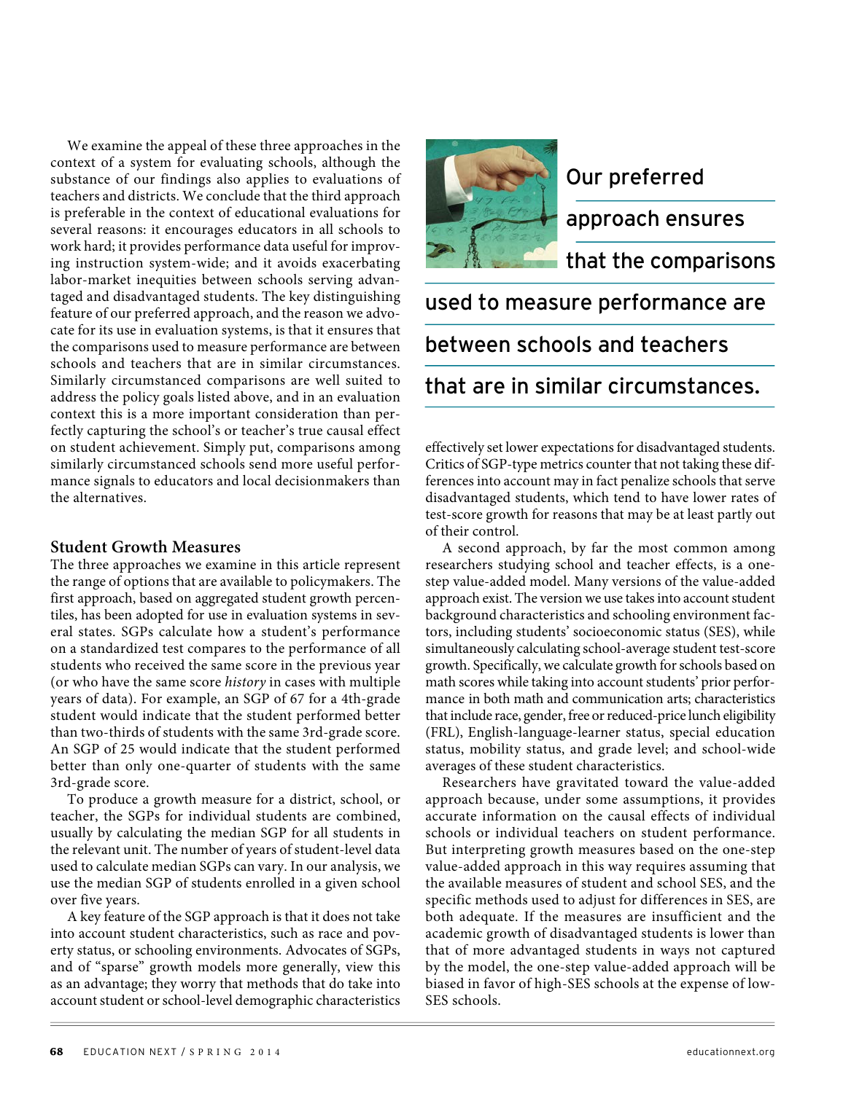We examine the appeal of these three approaches in the context of a system for evaluating schools, although the substance of our findings also applies to evaluations of teachers and districts. We conclude that the third approach is preferable in the context of educational evaluations for several reasons: it encourages educators in all schools to work hard; it provides performance data useful for improving instruction system-wide; and it avoids exacerbating labor-market inequities between schools serving advantaged and disadvantaged students. The key distinguishing feature of our preferred approach, and the reason we advocate for its use in evaluation systems, is that it ensures that the comparisons used to measure performance are between schools and teachers that are in similar circumstances. Similarly circumstanced comparisons are well suited to address the policy goals listed above, and in an evaluation context this is a more important consideration than perfectly capturing the school's or teacher's true causal effect on student achievement. Simply put, comparisons among similarly circumstanced schools send more useful performance signals to educators and local decisionmakers than the alternatives.

#### **Student Growth Measures**

The three approaches we examine in this article represent the range of options that are available to policymakers. The first approach, based on aggregated student growth percentiles, has been adopted for use in evaluation systems in several states. SGPs calculate how a student's performance on a standardized test compares to the performance of all students who received the same score in the previous year (or who have the same score history in cases with multiple years of data). For example, an SGP of 67 for a 4th-grade student would indicate that the student performed better than two-thirds of students with the same 3rd-grade score. An SGP of 25 would indicate that the student performed better than only one-quarter of students with the same 3rd-grade score.

To produce a growth measure for a district, school, or teacher, the SGPs for individual students are combined, usually by calculating the median SGP for all students in the relevant unit. The number of years of student-level data used to calculate median SGPs can vary. In our analysis, we use the median SGP of students enrolled in a given school over five years.

A key feature of the SGP approach is that it does not take into account student characteristics, such as race and poverty status, or schooling environments. Advocates of SGPs, and of "sparse" growth models more generally, view this as an advantage; they worry that methods that do take into account student or school-level demographic characteristics



# Our preferred

approach ensures

that the comparisons

# used to measure performance are between schools and teachers that are in similar circumstances.

effectively set lower expectations for disadvantaged students. Critics of SGP-type metrics counter that not taking these differences into account may in fact penalize schools that serve disadvantaged students, which tend to have lower rates of test-score growth for reasons that may be at least partly out of their control.

A second approach, by far the most common among researchers studying school and teacher effects, is a onestep value-added model. Many versions of the value-added approach exist. The version we use takes into account student background characteristics and schooling environment factors, including students' socioeconomic status (SES), while simultaneously calculating school-average student test-score growth. Specifically, we calculate growth for schools based on math scores while taking into account students' prior performance in both math and communication arts; characteristics that include race, gender, free or reduced-price lunch eligibility (FRL), English-language-learner status, special education status, mobility status, and grade level; and school-wide averages of these student characteristics.

Researchers have gravitated toward the value-added approach because, under some assumptions, it provides accurate information on the causal effects of individual schools or individual teachers on student performance. But interpreting growth measures based on the one-step value-added approach in this way requires assuming that the available measures of student and school SES, and the specific methods used to adjust for differences in SES, are both adequate. If the measures are insufficient and the academic growth of disadvantaged students is lower than that of more advantaged students in ways not captured by the model, the one-step value-added approach will be biased in favor of high-SES schools at the expense of low-SES schools.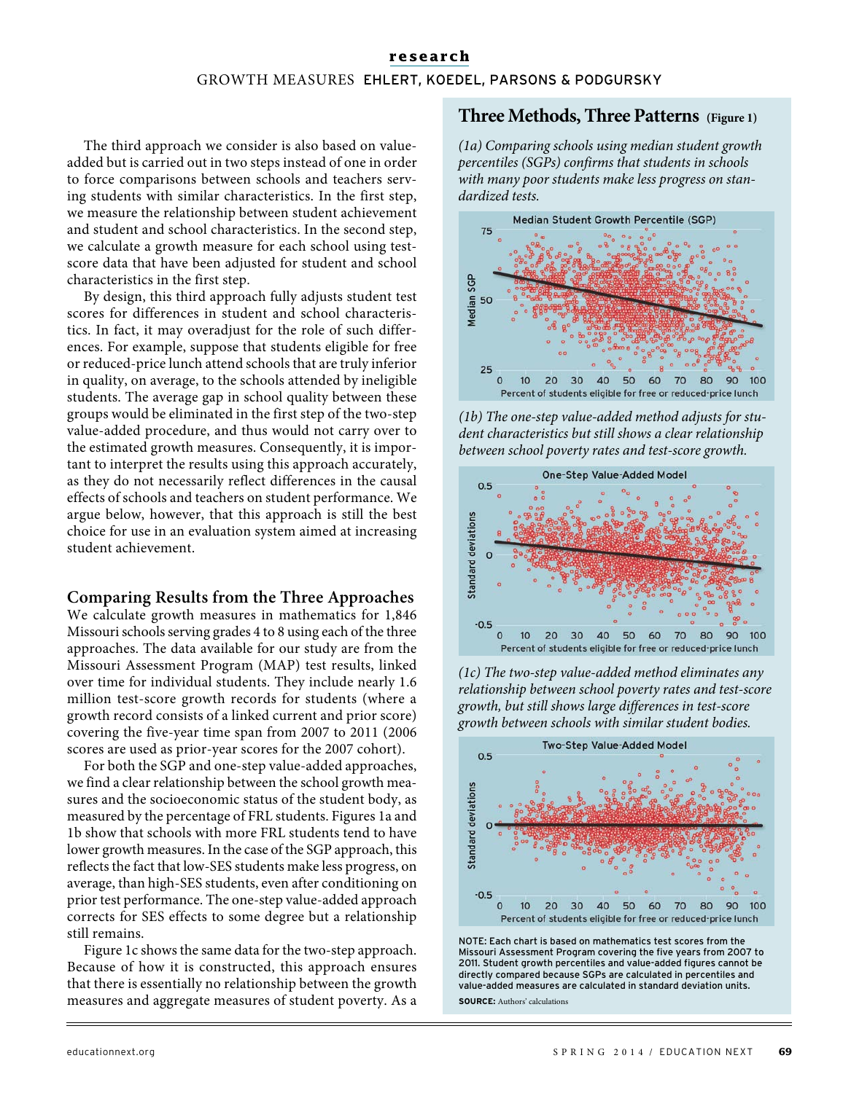#### **research** GROWTH MEASURES EHLERT, KOEDEL, PARSONS & PODGURSKY

The third approach we consider is also based on valueadded but is carried out in two steps instead of one in order to force comparisons between schools and teachers serving students with similar characteristics. In the first step, we measure the relationship between student achievement and student and school characteristics. In the second step, we calculate a growth measure for each school using testscore data that have been adjusted for student and school characteristics in the first step.

By design, this third approach fully adjusts student test scores for differences in student and school characteristics. In fact, it may overadjust for the role of such differences. For example, suppose that students eligible for free or reduced-price lunch attend schools that are truly inferior in quality, on average, to the schools attended by ineligible students. The average gap in school quality between these groups would be eliminated in the first step of the two-step value-added procedure, and thus would not carry over to the estimated growth measures. Consequently, it is important to interpret the results using this approach accurately, as they do not necessarily reflect differences in the causal effects of schools and teachers on student performance. We argue below, however, that this approach is still the best choice for use in an evaluation system aimed at increasing student achievement.

#### **Comparing Results from the Three Approaches**

We calculate growth measures in mathematics for 1,846 Missouri schools serving grades 4 to 8 using each of the three approaches. The data available for our study are from the Missouri Assessment Program (MAP) test results, linked over time for individual students. They include nearly 1.6 million test-score growth records for students (where a growth record consists of a linked current and prior score) covering the five-year time span from 2007 to 2011 (2006 scores are used as prior-year scores for the 2007 cohort).

For both the SGP and one-step value-added approaches, we find a clear relationship between the school growth measures and the socioeconomic status of the student body, as measured by the percentage of FRL students. Figures 1a and 1b show that schools with more FRL students tend to have lower growth measures. In the case of the SGP approach, this reflects the fact that low-SES students make less progress, on average, than high-SES students, even after conditioning on prior test performance. The one-step value-added approach corrects for SES effects to some degree but a relationship still remains.

Figure 1c shows the same data for the two-step approach. Because of how it is constructed, this approach ensures that there is essentially no relationship between the growth measures and aggregate measures of student poverty. As a

#### **Three Methods, Three Patterns (Figure 1)**

(1a) Comparing schools using median student growth percentiles (SGPs) confirms that students in schools with many poor students make less progress on standardized tests.



(1b) The one-step value-added method adjusts for student characteristics but still shows a clear relationship between school poverty rates and test-score growth.







NOTE: Each chart is based on mathematics test scores from the Missouri Assessment Program covering the five years from 2007 to 2011. Student growth percentiles and value-added figures cannot be directly compared because SGPs are calculated in percentiles and value-added measures are calculated in standard deviation units. **SOURCE:** Authors' calculations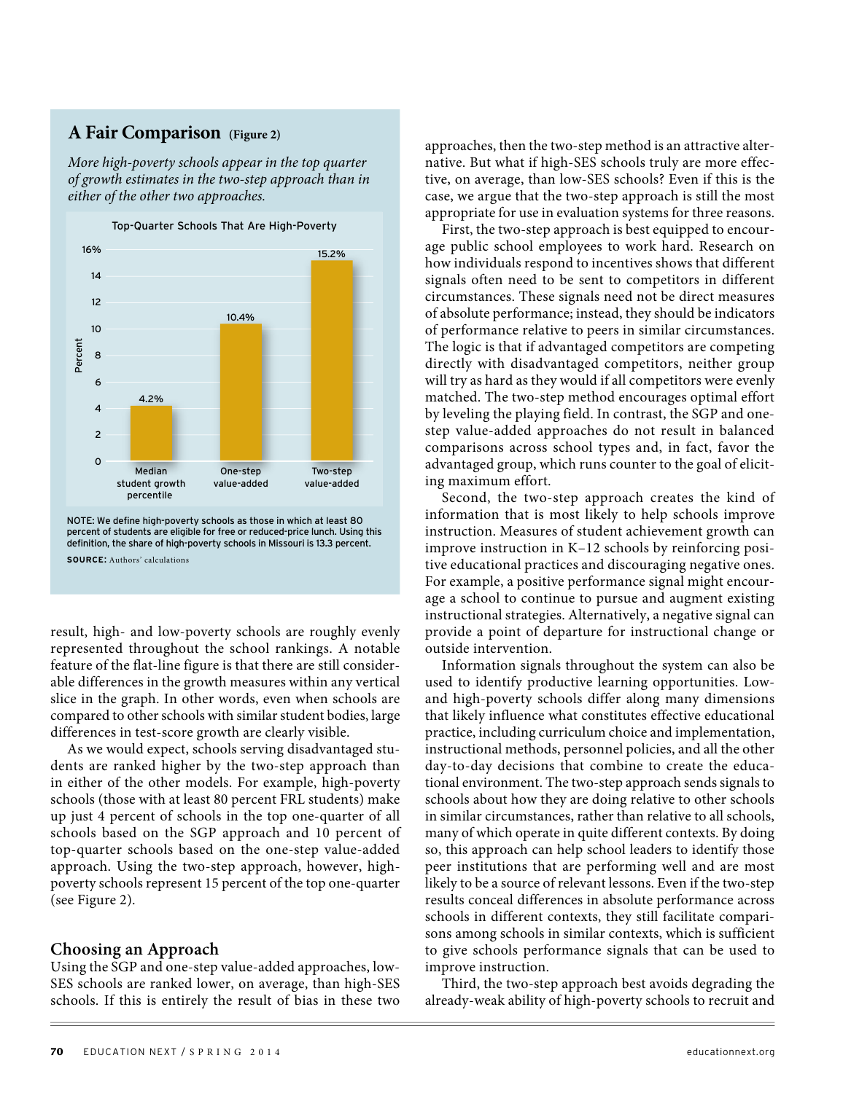#### **A Fair Comparison (Figure 2)**

More high-poverty schools appear in the top quarter of growth estimates in the two-step approach than in either of the other two approaches.



**SOURCE**: Authors' calculations

result, high- and low-poverty schools are roughly evenly represented throughout the school rankings. A notable feature of the flat-line figure is that there are still considerable differences in the growth measures within any vertical slice in the graph. In other words, even when schools are compared to other schools with similar student bodies, large differences in test-score growth are clearly visible.

As we would expect, schools serving disadvantaged students are ranked higher by the two-step approach than in either of the other models. For example, high-poverty schools (those with at least 80 percent FRL students) make up just 4 percent of schools in the top one-quarter of all schools based on the SGP approach and 10 percent of top-quarter schools based on the one-step value-added approach. Using the two-step approach, however, highpoverty schools represent 15 percent of the top one-quarter (see Figure 2).

#### **Choosing an Approach**

Using the SGP and one-step value-added approaches, low-SES schools are ranked lower, on average, than high-SES schools. If this is entirely the result of bias in these two

approaches, then the two-step method is an attractive alternative. But what if high-SES schools truly are more effective, on average, than low-SES schools? Even if this is the case, we argue that the two-step approach is still the most appropriate for use in evaluation systems for three reasons.

First, the two-step approach is best equipped to encourage public school employees to work hard. Research on how individuals respond to incentives shows that different signals often need to be sent to competitors in different circumstances. These signals need not be direct measures of absolute performance; instead, they should be indicators of performance relative to peers in similar circumstances. The logic is that if advantaged competitors are competing directly with disadvantaged competitors, neither group will try as hard as they would if all competitors were evenly matched. The two-step method encourages optimal effort by leveling the playing field. In contrast, the SGP and onestep value-added approaches do not result in balanced comparisons across school types and, in fact, favor the advantaged group, which runs counter to the goal of eliciting maximum effort.

Second, the two-step approach creates the kind of information that is most likely to help schools improve instruction. Measures of student achievement growth can improve instruction in K–12 schools by reinforcing positive educational practices and discouraging negative ones. For example, a positive performance signal might encourage a school to continue to pursue and augment existing instructional strategies. Alternatively, a negative signal can provide a point of departure for instructional change or outside intervention.

Information signals throughout the system can also be used to identify productive learning opportunities. Lowand high-poverty schools differ along many dimensions that likely influence what constitutes effective educational practice, including curriculum choice and implementation, instructional methods, personnel policies, and all the other day-to-day decisions that combine to create the educational environment. The two-step approach sends signals to schools about how they are doing relative to other schools in similar circumstances, rather than relative to all schools, many of which operate in quite different contexts. By doing so, this approach can help school leaders to identify those peer institutions that are performing well and are most likely to be a source of relevant lessons. Even if the two-step results conceal differences in absolute performance across schools in different contexts, they still facilitate comparisons among schools in similar contexts, which is sufficient to give schools performance signals that can be used to improve instruction.

Third, the two-step approach best avoids degrading the already-weak ability of high-poverty schools to recruit and